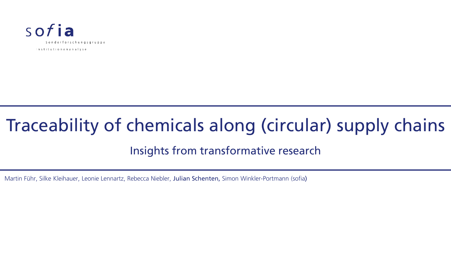

# Traceability of chemicals along (circular) supply chains

#### Insights from transformative research

Martin Führ, Silke Kleihauer, Leonie Lennartz, Rebecca Niebler, Julian Schenten, Simon Winkler-Portmann (sofia)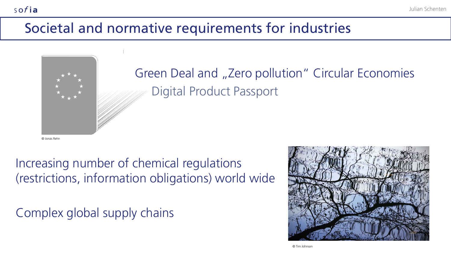## Societal and normative requirements for industries



Green Deal and "Zero pollution" Circular Economies Digital Product Passport

© Jonas Rehn

sofia

Increasing number of chemical regulations (restrictions, information obligations) world wide

Complex global supply chains

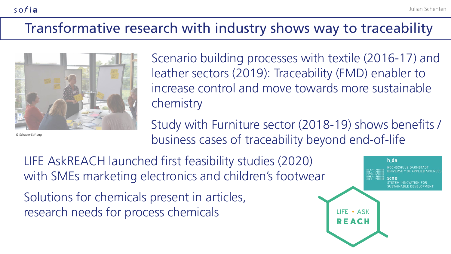## Transformative research with industry shows way to traceability



© Schader-Stiftung

sofia

Scenario building processes with textile (2016-17) and leather sectors (2019): Traceability (FMD) enabler to increase control and move towards more sustainable chemistry

Study with Furniture sector (2018-19) shows benefits / business cases of traceability beyond end-of-life

LIFE AskREACH launched first feasibility studies (2020) with SMEs marketing electronics and children's footwear

Solutions for chemicals present in articles, research needs for process chemicals

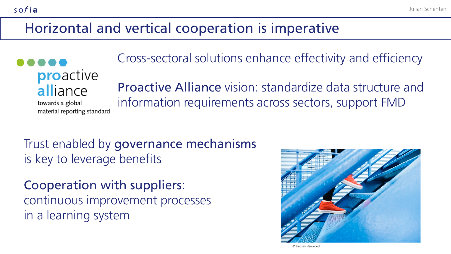## Horizontal and vertical cooperation is imperative

**proactive** alliance

sofia

towards a global material reporting standard Cross-sectoral solutions enhance effectivity and efficiency

Proactive Alliance vision: standardize data structure and information requirements across sectors, support FMD

Trust enabled by governance mechanisms is key to leverage benefits

Cooperation with suppliers: continuous improvement processes in a learning system



© Lindsay Henwood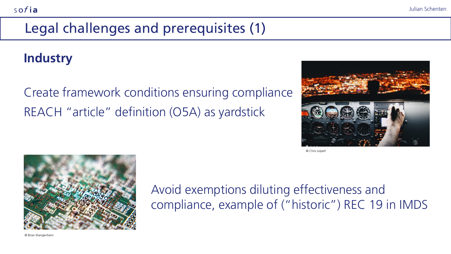## Legal challenges and prerequisites (1)

#### **Industry**

Create framework conditions ensuring compliance REACH "article" definition (O5A) as yardstick



© Chris Leipelt



Avoid exemptions diluting effectiveness and compliance, example of ("historic") REC 19 in IMDS

© Brian Wangenheim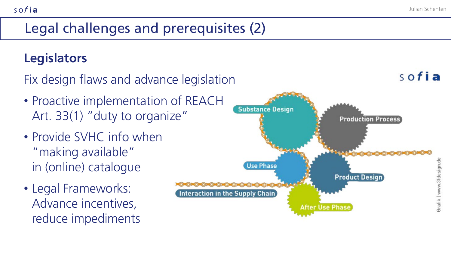sofia

## Legal challenges and prerequisites (2)

### **Legislators**

sofia

Fix design flaws and advance legislation

- Proactive implementation of REACH Art. 33(1) "duty to organize"
- Provide SVHC info when "making available" in (online) catalogue
- Legal Frameworks: Advance incentives, reduce impediments

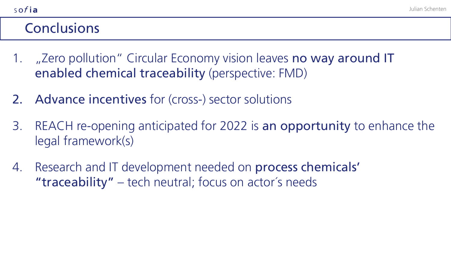### **Conclusions**

sofia

- 1. "Zero pollution" Circular Economy vision leaves no way around IT enabled chemical traceability (perspective: FMD)
- 2. Advance incentives for (cross-) sector solutions
- 3. REACH re-opening anticipated for 2022 is an opportunity to enhance the legal framework(s)
- 4. Research and IT development needed on process chemicals' "traceability" – tech neutral; focus on actor´s needs